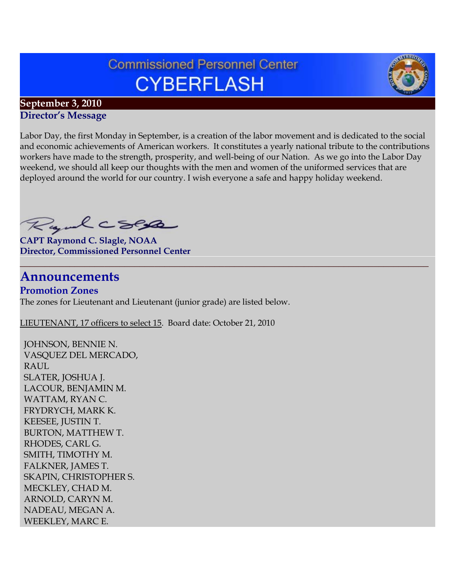# **Commissioned Personnel Center CYBERFLASH**

## **September 3, 2010 Director's Message**

Labor Day, the first Monday in September, is a creation of the labor movement and is dedicated to the social and economic achievements of American workers. It constitutes a yearly national tribute to the contributions workers have made to the strength, prosperity, and well-being of our Nation. As we go into the Labor Day weekend, we should all keep our thoughts with the men and women of the uniformed services that are deployed around the world for our country. I wish everyone a safe and happy holiday weekend.

**\_\_\_\_\_\_\_\_\_\_\_\_\_\_\_\_\_\_\_\_\_\_\_\_\_\_\_\_\_\_\_\_\_\_\_\_\_\_\_\_\_\_\_\_\_\_\_\_\_\_\_\_\_\_\_\_\_\_\_\_\_\_\_\_\_\_\_\_\_\_\_\_\_\_\_\_\_\_\_\_\_\_**

Ryalcses

**CAPT Raymond C. Slagle, NOAA Director, Commissioned Personnel Center**

# **Announcements**

**Promotion Zones** The zones for Lieutenant and Lieutenant (junior grade) are listed below.

LIEUTENANT, 17 officers to select 15. Board date: October 21, 2010

JOHNSON, BENNIE N. VASQUEZ DEL MERCADO, RAUL SLATER, JOSHUA J. LACOUR, BENJAMIN M. WATTAM, RYAN C. FRYDRYCH, MARK K. KEESEE, JUSTIN T. BURTON, MATTHEW T. RHODES, CARL G. SMITH, TIMOTHY M. FALKNER, JAMES T. SKAPIN, CHRISTOPHER S. MECKLEY, CHAD M. ARNOLD, CARYN M. NADEAU, MEGAN A. WEEKLEY, MARC E.

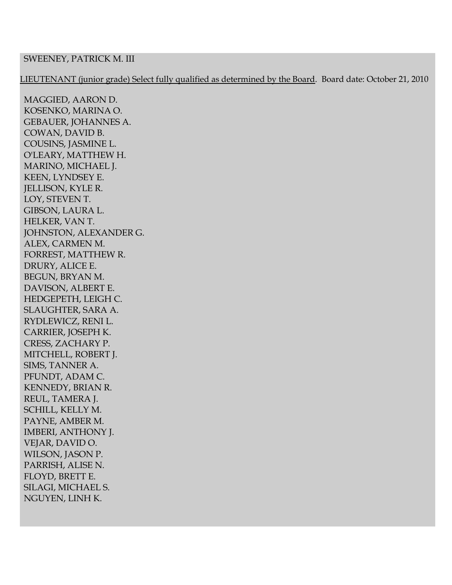#### SWEENEY, PATRICK M. III

LIEUTENANT (junior grade) Select fully qualified as determined by the Board. Board date: October 21, 2010

MAGGIED, AARON D. KOSENKO, MARINA O. GEBAUER, JOHANNES A. COWAN, DAVID B. COUSINS, JASMINE L. O'LEARY, MATTHEW H. MARINO, MICHAEL J. KEEN, LYNDSEY E. JELLISON, KYLE R. LOY, STEVEN T. GIBSON, LAURA L. HELKER, VAN T. JOHNSTON, ALEXANDER G. ALEX, CARMEN M. FORREST, MATTHEW R. DRURY, ALICE E. BEGUN, BRYAN M. DAVISON, ALBERT E. HEDGEPETH, LEIGH C. SLAUGHTER, SARA A. RYDLEWICZ, RENI L. CARRIER, JOSEPH K. CRESS, ZACHARY P. MITCHELL, ROBERT J. SIMS, TANNER A. PFUNDT, ADAM C. KENNEDY, BRIAN R. REUL, TAMERA J. SCHILL, KELLY M. PAYNE, AMBER M. IMBERI, ANTHONY J. VEJAR, DAVID O. WILSON, JASON P. PARRISH, ALISE N. FLOYD, BRETT E. SILAGI, MICHAEL S. NGUYEN, LINH K.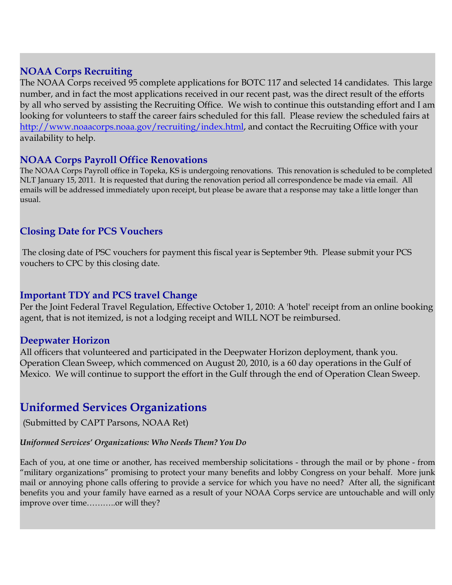## **NOAA Corps Recruiting**

The NOAA Corps received 95 complete applications for BOTC 117 and selected 14 candidates. This large number, and in fact the most applications received in our recent past, was the direct result of the efforts by all who served by assisting the Recruiting Office. We wish to continue this outstanding effort and I am looking for volunteers to staff the career fairs scheduled for this fall. Please review the scheduled fairs at [http://www.noaacorps.noaa.gov/recruiting/index.html,](http://www.noaacorps.noaa.gov/recruiting/index.html) and contact the Recruiting Office with your availability to help.

#### **NOAA Corps Payroll Office Renovations**

The NOAA Corps Payroll office in Topeka, KS is undergoing renovations. This renovation is scheduled to be completed NLT January 15, 2011. It is requested that during the renovation period all correspondence be made via email. All emails will be addressed immediately upon receipt, but please be aware that a response may take a little longer than usual.

## **Closing Date for PCS Vouchers**

The closing date of PSC vouchers for payment this fiscal year is September 9th. Please submit your PCS vouchers to CPC by this closing date.

#### **Important TDY and PCS travel Change**

Per the Joint Federal Travel Regulation, Effective October 1, 2010: A 'hotel' receipt from an online booking agent, that is not itemized, is not a lodging receipt and WILL NOT be reimbursed.

#### **Deepwater Horizon**

All officers that volunteered and participated in the Deepwater Horizon deployment, thank you. Operation Clean Sweep, which commenced on August 20, 2010, is a 60 day operations in the Gulf of Mexico. We will continue to support the effort in the Gulf through the end of Operation Clean Sweep.

# **Uniformed Services Organizations**

(Submitted by CAPT Parsons, NOAA Ret)

*Uniformed Services' Organizations: Who Needs Them? You Do* 

Each of you, at one time or another, has received membership solicitations - through the mail or by phone - from "military organizations" promising to protect your many benefits and lobby Congress on your behalf. More junk mail or annoying phone calls offering to provide a service for which you have no need? After all, the significant benefits you and your family have earned as a result of your NOAA Corps service are untouchable and will only improve over time………..or will they?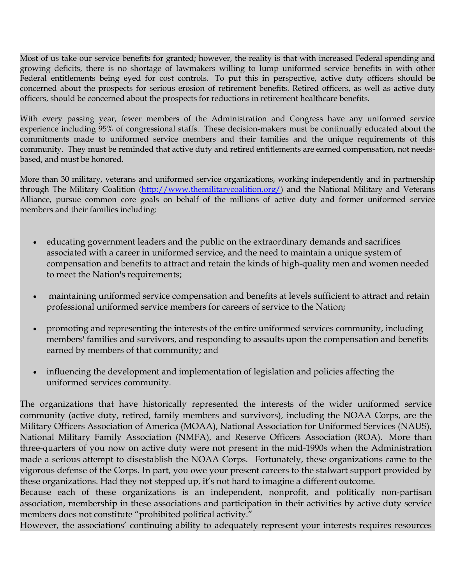Most of us take our service benefits for granted; however, the reality is that with increased Federal spending and growing deficits, there is no shortage of lawmakers willing to lump uniformed service benefits in with other Federal entitlements being eyed for cost controls. To put this in perspective, active duty officers should be concerned about the prospects for serious erosion of retirement benefits. Retired officers, as well as active duty officers, should be concerned about the prospects for reductions in retirement healthcare benefits.

With every passing year, fewer members of the Administration and Congress have any uniformed service experience including 95% of congressional staffs. These decision-makers must be continually educated about the commitments made to uniformed service members and their families and the unique requirements of this community. They must be reminded that active duty and retired entitlements are earned compensation, not needsbased, and must be honored.

More than 30 military, veterans and uniformed service organizations, working independently and in partnership through The Military Coalition [\(http://www.themilitarycoalition.org/\)](http://www.themilitarycoalition.org/) and the National Military and Veterans Alliance, pursue common core goals on behalf of the millions of active duty and former uniformed service members and their families including:

- educating government leaders and the public on the extraordinary demands and sacrifices associated with a career in uniformed service, and the need to maintain a unique system of compensation and benefits to attract and retain the kinds of high-quality men and women needed to meet the Nation's requirements;
- maintaining uniformed service compensation and benefits at levels sufficient to attract and retain professional uniformed service members for careers of service to the Nation;
- promoting and representing the interests of the entire uniformed services community, including members' families and survivors, and responding to assaults upon the compensation and benefits earned by members of that community; and
- influencing the development and implementation of legislation and policies affecting the uniformed services community.

The organizations that have historically represented the interests of the wider uniformed service community (active duty, retired, family members and survivors), including the NOAA Corps, are the Military Officers Association of America (MOAA), National Association for Uniformed Services (NAUS), National Military Family Association (NMFA), and Reserve Officers Association (ROA). More than three-quarters of you now on active duty were not present in the mid-1990s when the Administration made a serious attempt to disestablish the NOAA Corps. Fortunately, these organizations came to the vigorous defense of the Corps. In part, you owe your present careers to the stalwart support provided by these organizations. Had they not stepped up, it's not hard to imagine a different outcome.

Because each of these organizations is an independent, nonprofit, and politically non-partisan association, membership in these associations and participation in their activities by active duty service members does not constitute "prohibited political activity."

However, the associations' continuing ability to adequately represent your interests requires resources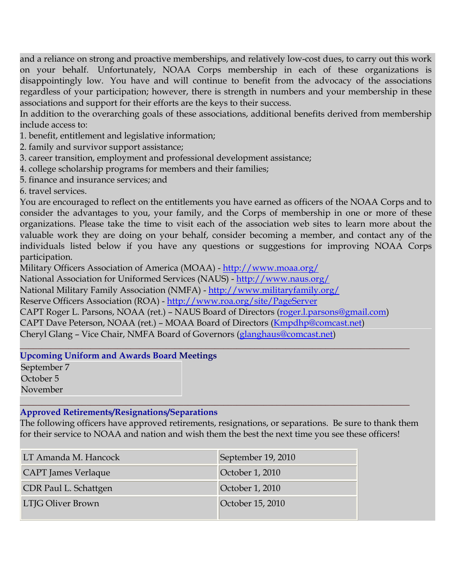and a reliance on strong and proactive memberships, and relatively low-cost dues, to carry out this work on your behalf. Unfortunately, NOAA Corps membership in each of these organizations is disappointingly low. You have and will continue to benefit from the advocacy of the associations regardless of your participation; however, there is strength in numbers and your membership in these associations and support for their efforts are the keys to their success.

In addition to the overarching goals of these associations, additional benefits derived from membership include access to:

- 1. benefit, entitlement and legislative information;
- 2. family and survivor support assistance;
- 3. career transition, employment and professional development assistance;
- 4. college scholarship programs for members and their families;
- 5. finance and insurance services; and

6. travel services.

You are encouraged to reflect on the entitlements you have earned as officers of the NOAA Corps and to consider the advantages to you, your family, and the Corps of membership in one or more of these organizations. Please take the time to visit each of the association web sites to learn more about the valuable work they are doing on your behalf, consider becoming a member, and contact any of the individuals listed below if you have any questions or suggestions for improving NOAA Corps participation.

Military Officers Association of America (MOAA) - <http://www.moaa.org/>

National Association for Uniformed Services (NAUS) - <http://www.naus.org/>

National Military Family Association (NMFA) - <http://www.militaryfamily.org/>

Reserve Officers Association (ROA) - <http://www.roa.org/site/PageServer>

CAPT Roger L. Parsons, NOAA (ret.) – NAUS Board of Directors (roger.l.parsons@gmail.com)

CAPT Dave Peterson, NOAA (ret.) – MOAA Board of Directors (Kmpdhp@comcast.net)

Cheryl Glang – Vice Chair, NMFA Board of Governors (glanghaus@comcast.net)

#### **\_\_\_\_\_\_\_\_\_\_\_\_\_\_\_\_\_\_\_\_\_\_\_\_\_\_\_\_\_\_\_\_\_\_\_\_\_\_\_\_\_\_\_\_\_\_\_\_\_\_\_\_\_\_\_\_\_\_\_\_\_\_\_\_\_\_\_\_\_\_\_\_\_\_\_\_\_\_\_\_\_\_\_\_\_\_\_\_ Upcoming Uniform and Awards Board Meetings**

September 7 October 5

November

#### **\_\_\_\_\_\_\_\_\_\_\_\_\_\_\_\_\_\_\_\_\_\_\_\_\_\_\_\_\_\_\_\_\_\_\_\_\_\_\_\_\_\_\_\_\_\_\_\_\_\_\_\_\_\_\_\_\_\_\_\_\_\_\_\_\_\_\_\_\_\_\_\_\_\_\_\_\_\_\_\_\_\_\_\_\_\_\_\_ Approved Retirements/Resignations/Separations**

The following officers have approved retirements, resignations, or separations. Be sure to thank them for their service to NOAA and nation and wish them the best the next time you see these officers!

| LT Amanda M. Hancock       | September 19, 2010 |
|----------------------------|--------------------|
| <b>CAPT</b> James Verlaque | October 1, 2010    |
| CDR Paul L. Schattgen      | October 1, 2010    |
| LTJG Oliver Brown          | October 15, 2010   |